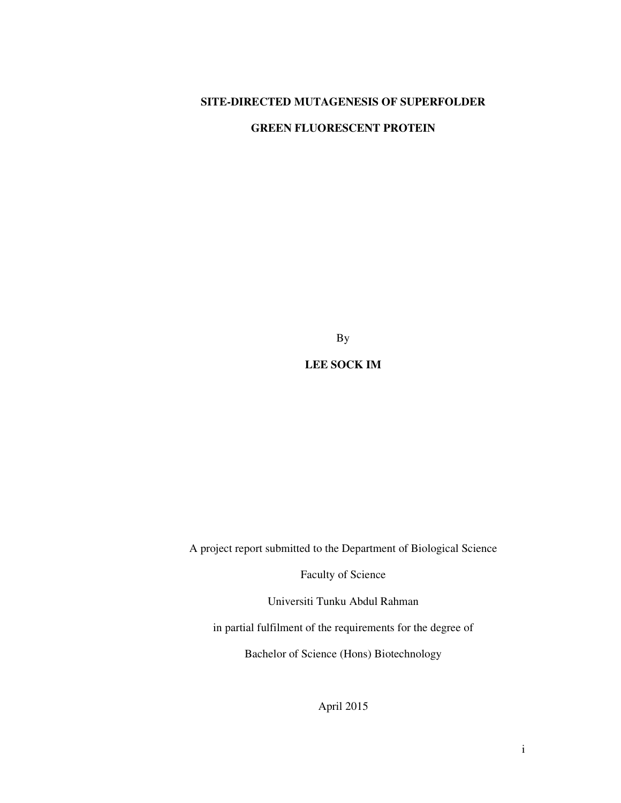### **SITE-DIRECTED MUTAGENESIS OF SUPERFOLDER**

#### **GREEN FLUORESCENT PROTEIN**

By

**LEE SOCK IM** 

A project report submitted to the Department of Biological Science

Faculty of Science

Universiti Tunku Abdul Rahman

in partial fulfilment of the requirements for the degree of

Bachelor of Science (Hons) Biotechnology

April 2015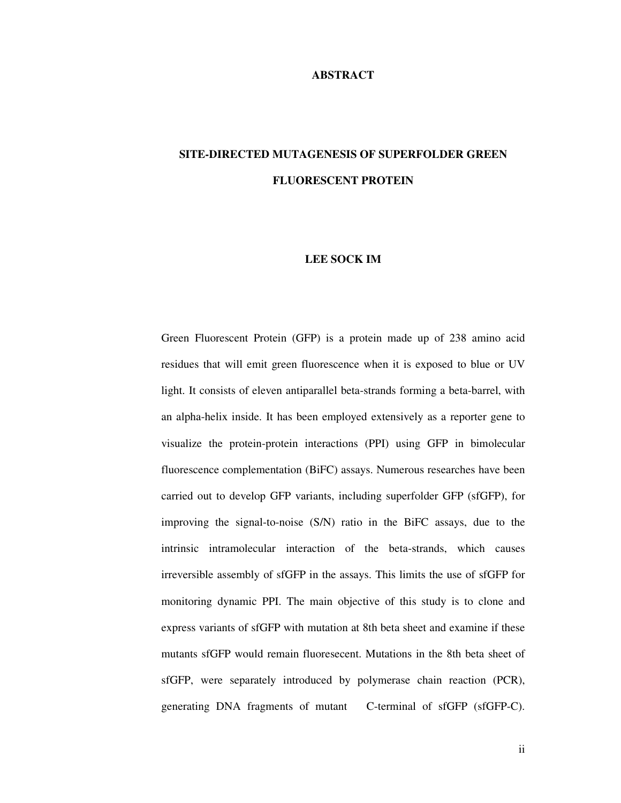#### **ABSTRACT**

# **SITE-DIRECTED MUTAGENESIS OF SUPERFOLDER GREEN FLUORESCENT PROTEIN**

#### **LEE SOCK IM**

Green Fluorescent Protein (GFP) is a protein made up of 238 amino acid residues that will emit green fluorescence when it is exposed to blue or UV light. It consists of eleven antiparallel beta-strands forming a beta-barrel, with an alpha-helix inside. It has been employed extensively as a reporter gene to visualize the protein-protein interactions (PPI) using GFP in bimolecular fluorescence complementation (BiFC) assays. Numerous researches have been carried out to develop GFP variants, including superfolder GFP (sfGFP), for improving the signal-to-noise (S/N) ratio in the BiFC assays, due to the intrinsic intramolecular interaction of the beta-strands, which causes irreversible assembly of sfGFP in the assays. This limits the use of sfGFP for monitoring dynamic PPI. The main objective of this study is to clone and express variants of sfGFP with mutation at 8th beta sheet and examine if these mutants sfGFP would remain fluoresecent. Mutations in the 8th beta sheet of sfGFP, were separately introduced by polymerase chain reaction (PCR), generating DNA fragments of mutant C-terminal of sfGFP (sfGFP-C).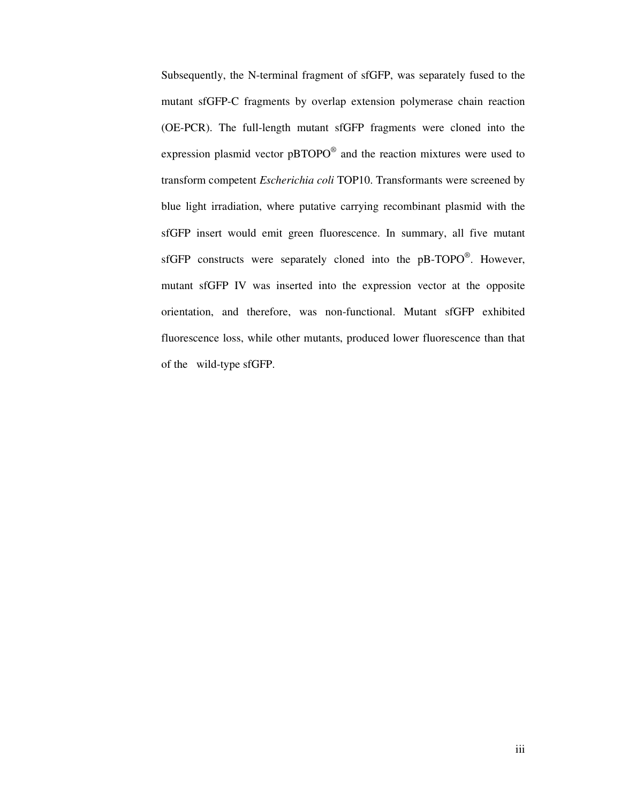Subsequently, the N-terminal fragment of sfGFP, was separately fused to the mutant sfGFP-C fragments by overlap extension polymerase chain reaction (OE-PCR). The full-length mutant sfGFP fragments were cloned into the expression plasmid vector  $pBTOPO^{\circledast}$  and the reaction mixtures were used to transform competent *Escherichia coli* TOP10. Transformants were screened by blue light irradiation, where putative carrying recombinant plasmid with the sfGFP insert would emit green fluorescence. In summary, all five mutant sfGFP constructs were separately cloned into the  $pB-TOPO^{\circledast}$ . However, mutant sfGFP IV was inserted into the expression vector at the opposite orientation, and therefore, was non-functional. Mutant sfGFP exhibited fluorescence loss, while other mutants, produced lower fluorescence than that of the wild-type sfGFP.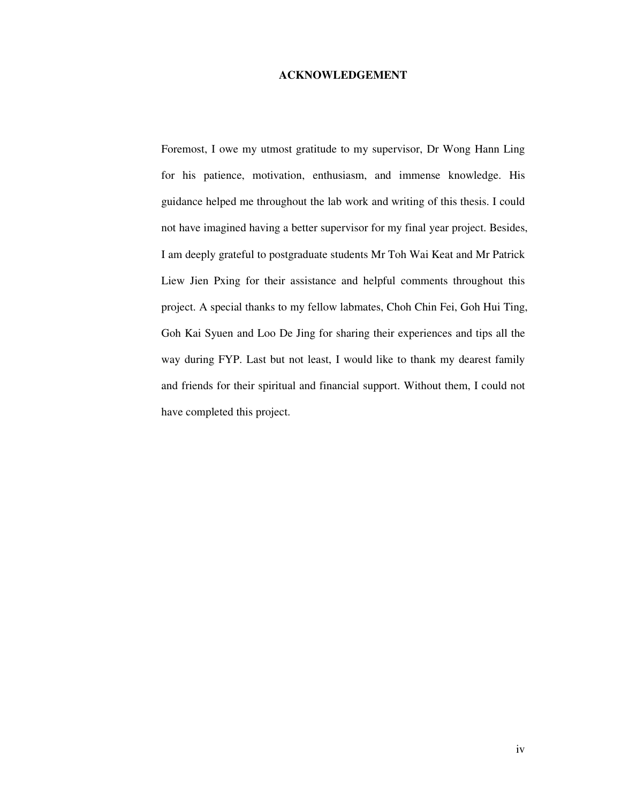#### **ACKNOWLEDGEMENT**

Foremost, I owe my utmost gratitude to my supervisor, Dr Wong Hann Ling for his patience, motivation, enthusiasm, and immense knowledge. His guidance helped me throughout the lab work and writing of this thesis. I could not have imagined having a better supervisor for my final year project. Besides, I am deeply grateful to postgraduate students Mr Toh Wai Keat and Mr Patrick Liew Jien Pxing for their assistance and helpful comments throughout this project. A special thanks to my fellow labmates, Choh Chin Fei, Goh Hui Ting, Goh Kai Syuen and Loo De Jing for sharing their experiences and tips all the way during FYP. Last but not least, I would like to thank my dearest family and friends for their spiritual and financial support. Without them, I could not have completed this project.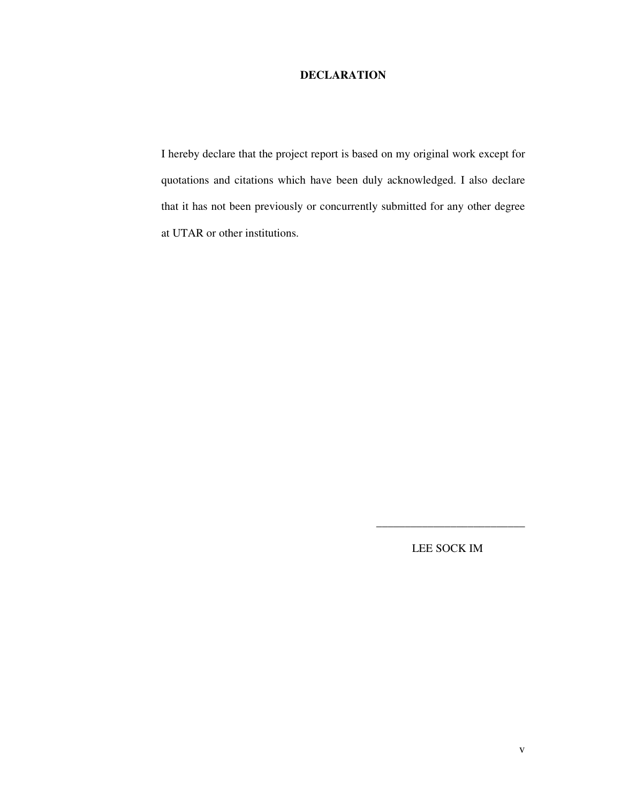#### **DECLARATION**

I hereby declare that the project report is based on my original work except for quotations and citations which have been duly acknowledged. I also declare that it has not been previously or concurrently submitted for any other degree at UTAR or other institutions.

LEE SOCK IM

\_\_\_\_\_\_\_\_\_\_\_\_\_\_\_\_\_\_\_\_\_\_\_\_\_\_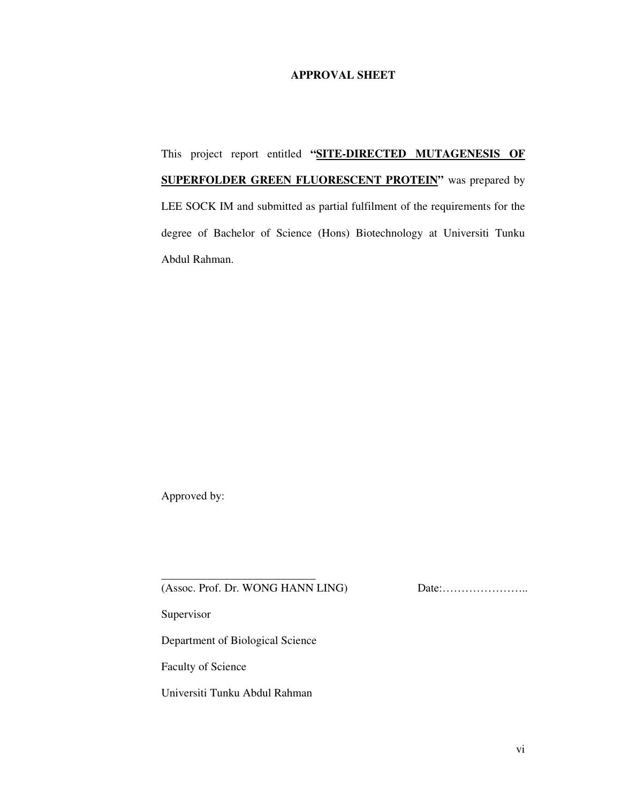#### **APPROVAL SHEET**

This project report entitled **"SITE-DIRECTED MUTAGENESIS OF SUPERFOLDER GREEN FLUORESCENT PROTEIN"** was prepared by LEE SOCK IM and submitted as partial fulfilment of the requirements for the degree of Bachelor of Science (Hons) Biotechnology at Universiti Tunku Abdul Rahman.

Approved by:

(Assoc. Prof. Dr. WONG HANN LING) Date:…………………..

Supervisor

Department of Biological Science

\_\_\_\_\_\_\_\_\_\_\_\_\_\_\_\_\_\_\_\_\_\_\_\_\_\_\_

Faculty of Science

Universiti Tunku Abdul Rahman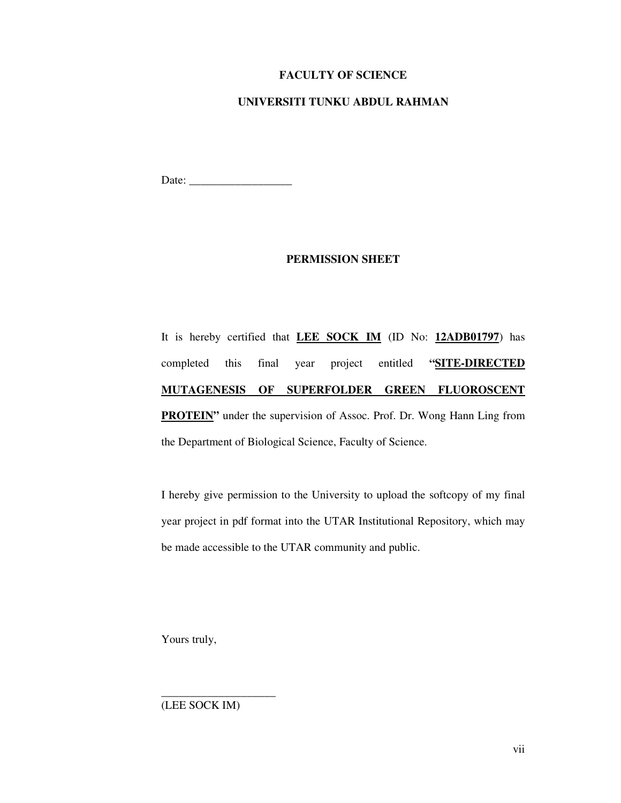#### **FACULTY OF SCIENCE**

#### **UNIVERSITI TUNKU ABDUL RAHMAN**

Date: \_\_\_\_\_\_\_\_\_\_\_\_\_\_\_\_\_\_

#### **PERMISSION SHEET**

It is hereby certified that **LEE SOCK IM** (ID No: **12ADB01797**) has completed this final year project entitled **"SITE-DIRECTED MUTAGENESIS OF SUPERFOLDER GREEN FLUOROSCENT PROTEIN**" under the supervision of Assoc. Prof. Dr. Wong Hann Ling from the Department of Biological Science, Faculty of Science.

I hereby give permission to the University to upload the softcopy of my final year project in pdf format into the UTAR Institutional Repository, which may be made accessible to the UTAR community and public.

Yours truly,

(LEE SOCK IM)

\_\_\_\_\_\_\_\_\_\_\_\_\_\_\_\_\_\_\_\_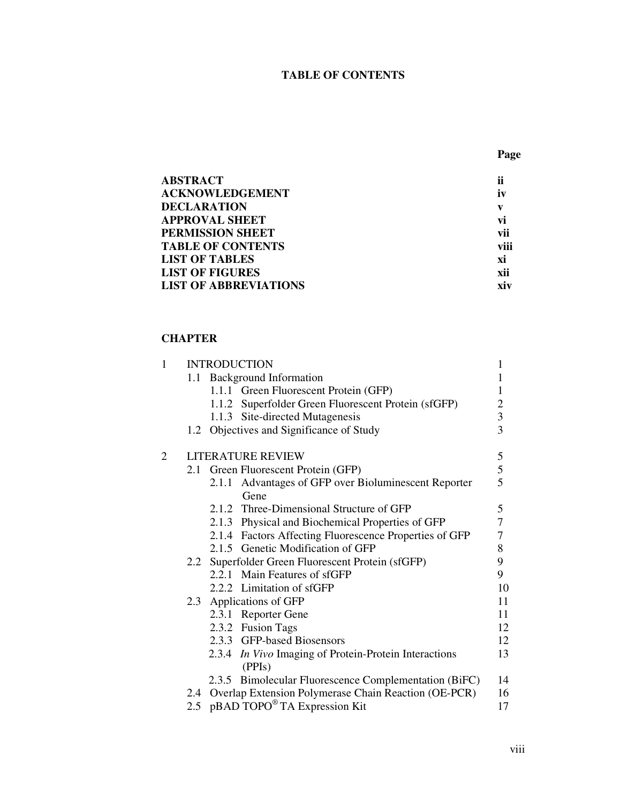# **TABLE OF CONTENTS**

| <b>ABSTRACT</b>              | ii   |
|------------------------------|------|
| <b>ACKNOWLEDGEMENT</b>       | iv   |
| <b>DECLARATION</b>           | V    |
| <b>APPROVAL SHEET</b>        | vi   |
| PERMISSION SHEET             | vii  |
| <b>TABLE OF CONTENTS</b>     | viii |
| <b>LIST OF TABLES</b>        | хi   |
| <b>LIST OF FIGURES</b>       | xii  |
| <b>LIST OF ABBREVIATIONS</b> | xiv  |

## **CHAPTER**

| $\mathbf{1}$ |                         | <b>INTRODUCTION</b>                                             |                                            |  |
|--------------|-------------------------|-----------------------------------------------------------------|--------------------------------------------|--|
|              |                         | 1.1 Background Information                                      | 1                                          |  |
|              |                         | 1.1.1 Green Fluorescent Protein (GFP)                           | 1                                          |  |
|              |                         | 1.1.2 Superfolder Green Fluorescent Protein (sfGFP)             |                                            |  |
|              |                         | 1.1.3 Site-directed Mutagenesis                                 | $\begin{array}{c} 2 \\ 3 \\ 3 \end{array}$ |  |
|              |                         | 1.2 Objectives and Significance of Study                        |                                            |  |
| 2            |                         | <b>LITERATURE REVIEW</b>                                        |                                            |  |
|              |                         | 2.1 Green Fluorescent Protein (GFP)                             | $\frac{5}{5}$                              |  |
|              |                         | Advantages of GFP over Bioluminescent Reporter<br>2.1.1<br>Gene |                                            |  |
|              |                         | 2.1.2 Three-Dimensional Structure of GFP                        | 5                                          |  |
|              |                         | 2.1.3 Physical and Biochemical Properties of GFP                | $\overline{7}$                             |  |
|              |                         | 2.1.4 Factors Affecting Fluorescence Properties of GFP          | $\boldsymbol{7}$                           |  |
|              |                         | 2.1.5 Genetic Modification of GFP                               | 8                                          |  |
|              |                         | 2.2 Superfolder Green Fluorescent Protein (sfGFP)               | 9                                          |  |
|              |                         | 2.2.1 Main Features of sfGFP                                    | 9                                          |  |
|              |                         | 2.2.2 Limitation of sfGFP                                       | 10                                         |  |
|              | 2.3 Applications of GFP | 11                                                              |                                            |  |
|              |                         | 2.3.1 Reporter Gene                                             | 11                                         |  |
|              |                         | 2.3.2 Fusion Tags                                               | 12                                         |  |
|              |                         | 2.3.3 GFP-based Biosensors                                      | 12                                         |  |
|              |                         | 2.3.4 In Vivo Imaging of Protein-Protein Interactions<br>(PPIs) | 13                                         |  |
|              |                         | 2.3.5 Bimolecular Fluorescence Complementation (BiFC)           | 14                                         |  |
|              |                         | 2.4 Overlap Extension Polymerase Chain Reaction (OE-PCR)        | 16                                         |  |
|              |                         | 2.5 pBAD TOPO <sup>®</sup> TA Expression Kit                    | 17                                         |  |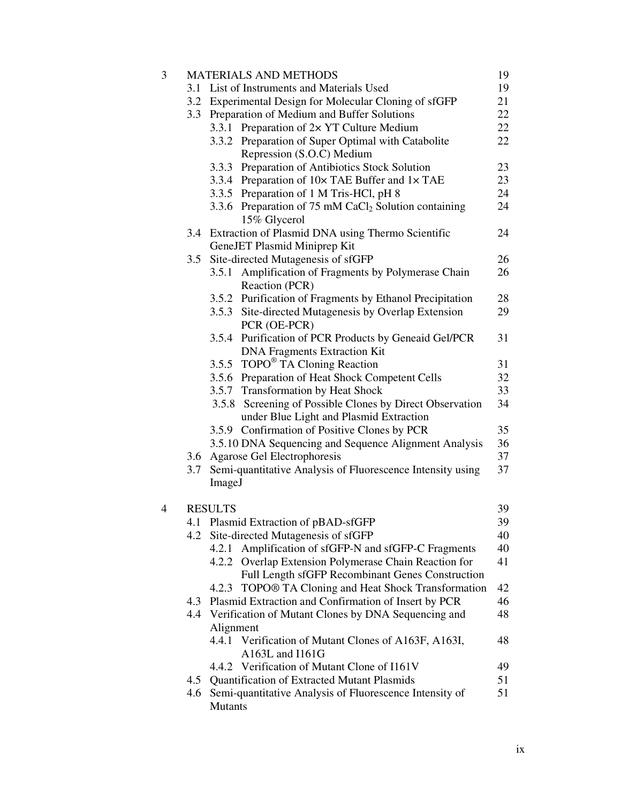| 3 |     | <b>MATERIALS AND METHODS</b>                                                     | 19 |  |  |
|---|-----|----------------------------------------------------------------------------------|----|--|--|
|   | 3.1 | List of Instruments and Materials Used                                           | 19 |  |  |
|   | 3.2 | Experimental Design for Molecular Cloning of sfGFP                               |    |  |  |
|   | 3.3 | Preparation of Medium and Buffer Solutions                                       | 22 |  |  |
|   |     | 3.3.1 Preparation of $2 \times$ YT Culture Medium                                | 22 |  |  |
|   |     | 3.3.2 Preparation of Super Optimal with Catabolite                               | 22 |  |  |
|   |     | Repression (S.O.C) Medium                                                        |    |  |  |
|   |     | 3.3.3 Preparation of Antibiotics Stock Solution                                  | 23 |  |  |
|   |     | 3.3.4 Preparation of 10x TAE Buffer and 1x TAE                                   | 23 |  |  |
|   |     | 3.3.5 Preparation of 1 M Tris-HCl, pH 8                                          | 24 |  |  |
|   |     | 3.3.6 Preparation of 75 mM CaCl <sub>2</sub> Solution containing<br>15% Glycerol | 24 |  |  |
|   | 3.4 | Extraction of Plasmid DNA using Thermo Scientific                                | 24 |  |  |
|   |     | GeneJET Plasmid Miniprep Kit                                                     |    |  |  |
|   | 3.5 | Site-directed Mutagenesis of sfGFP                                               | 26 |  |  |
|   |     | Amplification of Fragments by Polymerase Chain<br>3.5.1                          | 26 |  |  |
|   |     | Reaction (PCR)                                                                   |    |  |  |
|   |     | 3.5.2 Purification of Fragments by Ethanol Precipitation                         | 28 |  |  |
|   |     | 3.5.3 Site-directed Mutagenesis by Overlap Extension                             | 29 |  |  |
|   |     | PCR (OE-PCR)                                                                     |    |  |  |
|   |     | 3.5.4 Purification of PCR Products by Geneaid Gel/PCR                            | 31 |  |  |
|   |     | <b>DNA Fragments Extraction Kit</b>                                              |    |  |  |
|   |     | 3.5.5 TOPO <sup>®</sup> TA Cloning Reaction                                      | 31 |  |  |
|   |     | 3.5.6 Preparation of Heat Shock Competent Cells                                  | 32 |  |  |
|   |     | 3.5.7 Transformation by Heat Shock                                               | 33 |  |  |
|   |     | 3.5.8 Screening of Possible Clones by Direct Observation                         | 34 |  |  |
|   |     | under Blue Light and Plasmid Extraction                                          |    |  |  |
|   |     | 3.5.9 Confirmation of Positive Clones by PCR                                     | 35 |  |  |
|   |     | 3.5.10 DNA Sequencing and Sequence Alignment Analysis                            | 36 |  |  |
|   |     | 3.6 Agarose Gel Electrophoresis                                                  | 37 |  |  |
|   | 3.7 | Semi-quantitative Analysis of Fluorescence Intensity using                       | 37 |  |  |
|   |     | ImageJ                                                                           |    |  |  |
| 4 |     | <b>RESULTS</b>                                                                   | 39 |  |  |
|   |     | 4.1 Plasmid Extraction of pBAD-sfGFP                                             | 39 |  |  |
|   |     | 4.2 Site-directed Mutagenesis of sfGFP                                           | 40 |  |  |
|   |     | 4.2.1 Amplification of sfGFP-N and sfGFP-C Fragments                             | 40 |  |  |
|   |     | 4.2.2 Overlap Extension Polymerase Chain Reaction for                            | 41 |  |  |
|   |     | Full Length sfGFP Recombinant Genes Construction                                 |    |  |  |
|   |     | TOPO® TA Cloning and Heat Shock Transformation<br>4.2.3                          | 42 |  |  |
|   | 4.3 | Plasmid Extraction and Confirmation of Insert by PCR                             | 46 |  |  |
|   | 4.4 | Verification of Mutant Clones by DNA Sequencing and                              | 48 |  |  |
|   |     | Alignment                                                                        |    |  |  |
|   |     | Verification of Mutant Clones of A163F, A163I,<br>4.4.1<br>A163L and I161G       | 48 |  |  |
|   |     | 4.4.2 Verification of Mutant Clone of I161V                                      | 49 |  |  |
|   | 4.5 | Quantification of Extracted Mutant Plasmids                                      | 51 |  |  |
|   | 4.6 | Semi-quantitative Analysis of Fluorescence Intensity of                          | 51 |  |  |
|   |     | <b>Mutants</b>                                                                   |    |  |  |